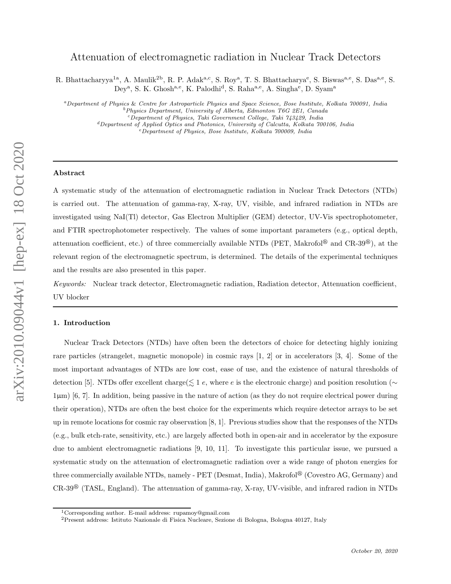# arXiv:2010.09044v1 [hep-ex] 18 Oct 2020 arXiv:2010.09044v1 [hep-ex] 18 Oct 2020

# Attenuation of electromagnetic radiation in Nuclear Track Detectors

R. Bhattacharyya<sup>1a</sup>, A. Maulik<sup>2b</sup>, R. P. Adak<sup>a,c</sup>, S. Roy<sup>a</sup>, T. S. Bhattacharya<sup>e</sup>, S. Biswas<sup>a,e</sup>, S. Das<sup>a,e</sup>, S. Dey<sup>a</sup>, S. K. Ghosh<sup>a, e</sup>, K. Palodhi<sup>d</sup>, S. Raha<sup>a, e</sup>, A. Singha<sup>e</sup>, D. Syam<sup>a</sup>

<sup>a</sup>Department of Physics & Centre for Astroparticle Physics and Space Science, Bose Institute, Kolkata 700091, India  $b$ Physics Department, University of Alberta, Edmonton T6G 2E1, Canada <sup>c</sup>Department of Physics, Taki Government College, Taki 743429, India

 ${}^{d}$ Department of Applied Optics and Photonics, University of Calcutta, Kolkata 700106, India

<sup>e</sup>Department of Physics, Bose Institute, Kolkata 700009, India

### Abstract

A systematic study of the attenuation of electromagnetic radiation in Nuclear Track Detectors (NTDs) is carried out. The attenuation of gamma-ray, X-ray, UV, visible, and infrared radiation in NTDs are investigated using NaI(Tl) detector, Gas Electron Multiplier (GEM) detector, UV-Vis spectrophotometer, and FTIR spectrophotometer respectively. The values of some important parameters (e.g., optical depth, attenuation coefficient, etc.) of three commercially available NTDs (PET, Makrofol<sup>®</sup> and CR-39<sup>®</sup>), at the relevant region of the electromagnetic spectrum, is determined. The details of the experimental techniques and the results are also presented in this paper.

Keywords: Nuclear track detector, Electromagnetic radiation, Radiation detector, Attenuation coefficient, UV blocker

### 1. Introduction

Nuclear Track Detectors (NTDs) have often been the detectors of choice for detecting highly ionizing rare particles (strangelet, magnetic monopole) in cosmic rays [1, 2] or in accelerators [3, 4]. Some of the most important advantages of NTDs are low cost, ease of use, and the existence of natural thresholds of detection [5]. NTDs offer excellent charge( $\leq 1$  e, where e is the electronic charge) and position resolution (∼ 1µm) [6, 7]. In addition, being passive in the nature of action (as they do not require electrical power during their operation), NTDs are often the best choice for the experiments which require detector arrays to be set up in remote locations for cosmic ray observation [8, 1]. Previous studies show that the responses of the NTDs (e.g., bulk etch-rate, sensitivity, etc.) are largely affected both in open-air and in accelerator by the exposure due to ambient electromagnetic radiations [9, 10, 11]. To investigate this particular issue, we pursued a systematic study on the attenuation of electromagnetic radiation over a wide range of photon energies for three commercially available NTDs, namely - PET (Desmat, India), Makrofol® (Covestro AG, Germany) and  $CR-39^{\circledR}$  (TASL, England). The attenuation of gamma-ray, X-ray, UV-visible, and infrared radion in NTDs

<sup>1</sup>Corresponding author. E-mail address: rupamoy@gmail.com

<sup>2</sup>Present address: Istituto Nazionale di Fisica Nucleare, Sezione di Bologna, Bologna 40127, Italy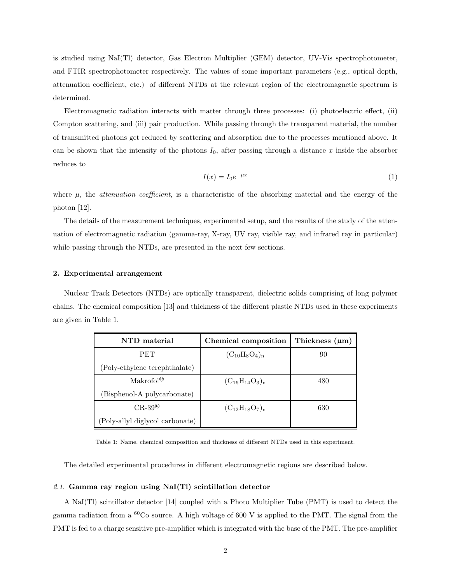is studied using NaI(Tl) detector, Gas Electron Multiplier (GEM) detector, UV-Vis spectrophotometer, and FTIR spectrophotometer respectively. The values of some important parameters (e.g., optical depth, attenuation coefficient, etc.) of different NTDs at the relevant region of the electromagnetic spectrum is determined.

Electromagnetic radiation interacts with matter through three processes: (i) photoelectric effect, (ii) Compton scattering, and (iii) pair production. While passing through the transparent material, the number of transmitted photons get reduced by scattering and absorption due to the processes mentioned above. It can be shown that the intensity of the photons  $I_0$ , after passing through a distance x inside the absorber reduces to

$$
I(x) = I_0 e^{-\mu x} \tag{1}
$$

where  $\mu$ , the *attenuation coefficient*, is a characteristic of the absorbing material and the energy of the photon [12].

The details of the measurement techniques, experimental setup, and the results of the study of the attenuation of electromagnetic radiation (gamma-ray, X-ray, UV ray, visible ray, and infrared ray in particular) while passing through the NTDs, are presented in the next few sections.

### 2. Experimental arrangement

Nuclear Track Detectors (NTDs) are optically transparent, dielectric solids comprising of long polymer chains. The chemical composition [13] and thickness of the different plastic NTDs used in these experiments are given in Table 1.

| NTD material                    | Chemical composition  | Thickness $(\mu m)$ |
|---------------------------------|-----------------------|---------------------|
| <b>PET</b>                      | $(C_{10}H_8O_4)_n$    | 90                  |
| (Poly-ethylene terephthalate)   |                       |                     |
| Makrofol <sup>®</sup>           | $(C_{16}H_{14}O_3)_n$ | 480                 |
| (Bisphenol-A polycarbonate)     |                       |                     |
| $CR-39^{\circledR}$             | $(C_{12}H_{18}O_7)_n$ | 630                 |
| (Poly-allyl diglycol carbonate) |                       |                     |

Table 1: Name, chemical composition and thickness of different NTDs used in this experiment.

The detailed experimental procedures in different electromagnetic regions are described below.

### 2.1. Gamma ray region using NaI(Tl) scintillation detector

A NaI(Tl) scintillator detector [14] coupled with a Photo Multiplier Tube (PMT) is used to detect the gamma radiation from a  ${}^{60}Co$  source. A high voltage of 600 V is applied to the PMT. The signal from the PMT is fed to a charge sensitive pre-amplifier which is integrated with the base of the PMT. The pre-amplifier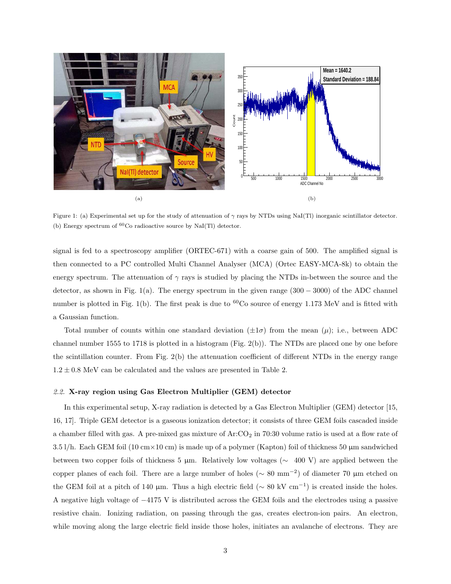

Figure 1: (a) Experimental set up for the study of attenuation of  $\gamma$  rays by NTDs using NaI(Tl) inorganic scintillator detector. (b) Energy spectrum of  ${}^{60}Co$  radioactive source by NaI(Tl) detector.

signal is fed to a spectroscopy amplifier (ORTEC-671) with a coarse gain of 500. The amplified signal is then connected to a PC controlled Multi Channel Analyser (MCA) (Ortec EASY-MCA-8k) to obtain the energy spectrum. The attenuation of  $\gamma$  rays is studied by placing the NTDs in-between the source and the detector, as shown in Fig. 1(a). The energy spectrum in the given range  $(300 - 3000)$  of the ADC channel number is plotted in Fig. 1(b). The first peak is due to  ${}^{60}Co$  source of energy 1.173 MeV and is fitted with a Gaussian function.

Total number of counts within one standard deviation  $(\pm 1\sigma)$  from the mean  $(\mu)$ ; i.e., between ADC channel number 1555 to 1718 is plotted in a histogram (Fig. 2(b)). The NTDs are placed one by one before the scintillation counter. From Fig. 2(b) the attenuation coefficient of different NTDs in the energy range  $1.2 \pm 0.8$  MeV can be calculated and the values are presented in Table 2.

### 2.2. X-ray region using Gas Electron Multiplier (GEM) detector

In this experimental setup, X-ray radiation is detected by a Gas Electron Multiplier (GEM) detector [15, 16, 17]. Triple GEM detector is a gaseous ionization detector; it consists of three GEM foils cascaded inside a chamber filled with gas. A pre-mixed gas mixture of Ar:CO<sub>2</sub> in 70:30 volume ratio is used at a flow rate of  $3.5 \frac{\mu}{\hbar}$ . Each GEM foil (10 cm  $\times$  10 cm) is made up of a polymer (Kapton) foil of thickness 50 µm sandwiched between two copper foils of thickness 5 µm. Relatively low voltages (∼ 400 V) are applied between the copper planes of each foil. There are a large number of holes ( $\sim 80$  mm<sup>-2</sup>) of diameter 70 µm etched on the GEM foil at a pitch of 140 µm. Thus a high electric field ( $\sim 80 \text{ kV cm}^{-1}$ ) is created inside the holes. A negative high voltage of −4175 V is distributed across the GEM foils and the electrodes using a passive resistive chain. Ionizing radiation, on passing through the gas, creates electron-ion pairs. An electron, while moving along the large electric field inside those holes, initiates an avalanche of electrons. They are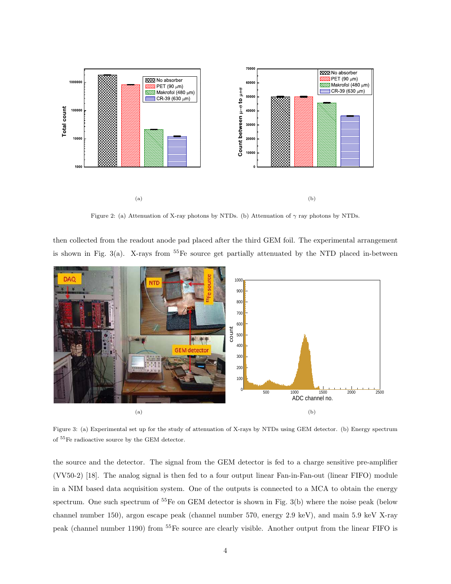

Figure 2: (a) Attenuation of X-ray photons by NTDs. (b) Attenuation of  $\gamma$  ray photons by NTDs.

then collected from the readout anode pad placed after the third GEM foil. The experimental arrangement is shown in Fig.  $3(a)$ . X-rays from  $55Fe$  source get partially attenuated by the NTD placed in-between



Figure 3: (a) Experimental set up for the study of attenuation of X-rays by NTDs using GEM detector. (b) Energy spectrum of <sup>55</sup>Fe radioactive source by the GEM detector.

the source and the detector. The signal from the GEM detector is fed to a charge sensitive pre-amplifier (VV50-2) [18]. The analog signal is then fed to a four output linear Fan-in-Fan-out (linear FIFO) module in a NIM based data acquisition system. One of the outputs is connected to a MCA to obtain the energy spectrum. One such spectrum of <sup>55</sup>Fe on GEM detector is shown in Fig. 3(b) where the noise peak (below channel number 150), argon escape peak (channel number 570, energy 2.9 keV), and main 5.9 keV X-ray peak (channel number 1190) from <sup>55</sup>Fe source are clearly visible. Another output from the linear FIFO is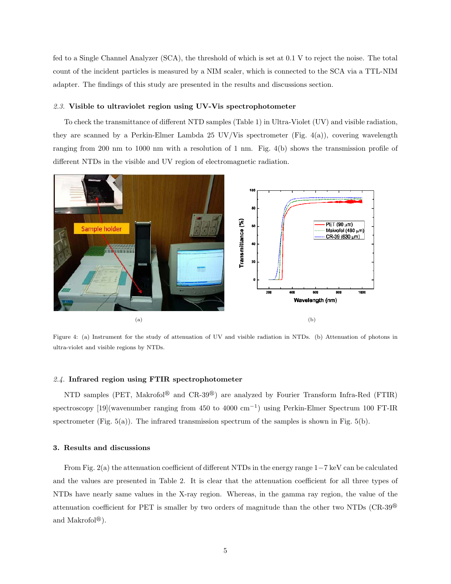fed to a Single Channel Analyzer (SCA), the threshold of which is set at 0.1 V to reject the noise. The total count of the incident particles is measured by a NIM scaler, which is connected to the SCA via a TTL-NIM adapter. The findings of this study are presented in the results and discussions section.

### 2.3. Visible to ultraviolet region using UV-Vis spectrophotometer

To check the transmittance of different NTD samples (Table 1) in Ultra-Violet (UV) and visible radiation, they are scanned by a Perkin-Elmer Lambda 25 UV/Vis spectrometer (Fig. 4(a)), covering wavelength ranging from 200 nm to 1000 nm with a resolution of 1 nm. Fig. 4(b) shows the transmission profile of different NTDs in the visible and UV region of electromagnetic radiation.



Figure 4: (a) Instrument for the study of attenuation of UV and visible radiation in NTDs. (b) Attenuation of photons in ultra-violet and visible regions by NTDs.

# 2.4. Infrared region using FTIR spectrophotometer

NTD samples (PET, Makrofol<sup>®</sup> and CR-39<sup>®</sup>) are analyzed by Fourier Transform Infra-Red (FTIR) spectroscopy [19](wavenumber ranging from 450 to 4000 cm<sup>-1</sup>) using Perkin-Elmer Spectrum 100 FT-IR spectrometer (Fig.  $5(a)$ ). The infrared transmission spectrum of the samples is shown in Fig.  $5(b)$ .

### 3. Results and discussions

From Fig. 2(a) the attenuation coefficient of different NTDs in the energy range 1−7 keV can be calculated and the values are presented in Table 2. It is clear that the attenuation coefficient for all three types of NTDs have nearly same values in the X-ray region. Whereas, in the gamma ray region, the value of the attenuation coefficient for PET is smaller by two orders of magnitude than the other two NTDs  $(CR-39^{\circ}\text{C})$ and Makrofol<sup>®</sup>).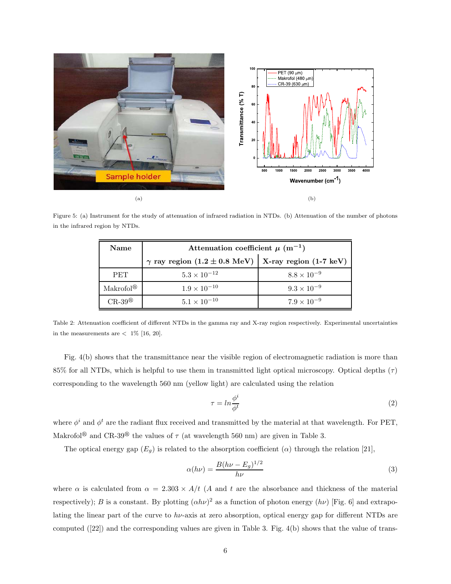

Figure 5: (a) Instrument for the study of attenuation of infrared radiation in NTDs. (b) Attenuation of the number of photons in the infrared region by NTDs.

| Name                  | Attenuation coefficient $\mu$ (m <sup>-1</sup> )             |                      |  |  |
|-----------------------|--------------------------------------------------------------|----------------------|--|--|
|                       | $\gamma$ ray region (1.2 ± 0.8 MeV)   X-ray region (1-7 keV) |                      |  |  |
| <b>PET</b>            | $5.3 \times 10^{-12}$                                        | $8.8 \times 10^{-9}$ |  |  |
| Makrofol <sup>®</sup> | $1.9 \times 10^{-10}$                                        | $9.3 \times 10^{-9}$ |  |  |
| $CR-39^{\circledR}$   | $5.1 \times 10^{-10}$                                        | $7.9 \times 10^{-9}$ |  |  |

Table 2: Attenuation coefficient of different NTDs in the gamma ray and X-ray region respectively. Experimental uncertainties in the measurements are  $< 1\%$  [16, 20].

Fig. 4(b) shows that the transmittance near the visible region of electromagnetic radiation is more than 85% for all NTDs, which is helpful to use them in transmitted light optical microscopy. Optical depths  $(\tau)$ corresponding to the wavelength 560 nm (yellow light) are calculated using the relation

$$
\tau = \ln \frac{\phi^i}{\phi^t} \tag{2}
$$

where  $\phi^i$  and  $\phi^t$  are the radiant flux received and transmitted by the material at that wavelength. For PET, Makrofol<sup>®</sup> and CR-39<sup>®</sup> the values of  $\tau$  (at wavelength 560 nm) are given in Table 3.

The optical energy gap  $(E_g)$  is related to the absorption coefficient  $(\alpha)$  through the relation [21],

$$
\alpha(h\nu) = \frac{B(h\nu - E_g)^{1/2}}{h\nu} \tag{3}
$$

where  $\alpha$  is calculated from  $\alpha = 2.303 \times A/t$  (A and t are the absorbance and thickness of the material respectively); B is a constant. By plotting  $(\alpha h\nu)^2$  as a function of photon energy  $(h\nu)$  [Fig. 6] and extrapolating the linear part of the curve to  $h\nu$ -axis at zero absorption, optical energy gap for different NTDs are computed ([22]) and the corresponding values are given in Table 3. Fig. 4(b) shows that the value of trans-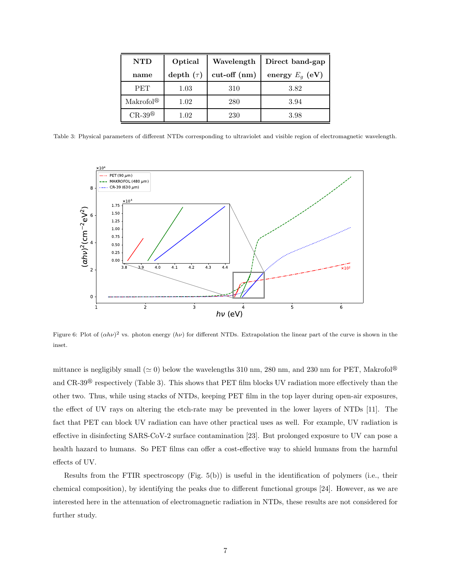| <b>NTD</b>            | Optical        | Wavelength     | Direct band-gap   |
|-----------------------|----------------|----------------|-------------------|
| name                  | depth $(\tau)$ | $cut-off$ (nm) | energy $E_q$ (eV) |
| <b>PET</b>            | 1.03           | 310            | 3.82              |
| Makrofol <sup>®</sup> | 1.02           | 280            | 3.94              |
| $CR-39^{\circledR}$   | $1.02\,$       | 230            | 3.98              |

Table 3: Physical parameters of different NTDs corresponding to ultraviolet and visible region of electromagnetic wavelength.



Figure 6: Plot of  $(\alpha h\nu)^2$  vs. photon energy  $(h\nu)$  for different NTDs. Extrapolation the linear part of the curve is shown in the inset.

mittance is negligibly small ( $\simeq$  0) below the wavelengths 310 nm, 280 nm, and 230 nm for PET, Makrofol<sup>®</sup> and  $CR-39^{\circledR}$  respectively (Table 3). This shows that PET film blocks UV radiation more effectively than the other two. Thus, while using stacks of NTDs, keeping PET film in the top layer during open-air exposures, the effect of UV rays on altering the etch-rate may be prevented in the lower layers of NTDs [11]. The fact that PET can block UV radiation can have other practical uses as well. For example, UV radiation is effective in disinfecting SARS-CoV-2 surface contamination [23]. But prolonged exposure to UV can pose a health hazard to humans. So PET films can offer a cost-effective way to shield humans from the harmful effects of UV.

Results from the FTIR spectroscopy (Fig. 5(b)) is useful in the identification of polymers (i.e., their chemical composition), by identifying the peaks due to different functional groups [24]. However, as we are interested here in the attenuation of electromagnetic radiation in NTDs, these results are not considered for further study.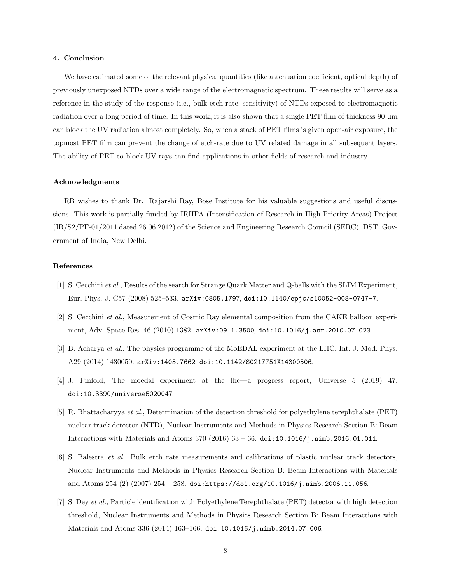### 4. Conclusion

We have estimated some of the relevant physical quantities (like attenuation coefficient, optical depth) of previously unexposed NTDs over a wide range of the electromagnetic spectrum. These results will serve as a reference in the study of the response (i.e., bulk etch-rate, sensitivity) of NTDs exposed to electromagnetic radiation over a long period of time. In this work, it is also shown that a single PET film of thickness 90  $\mu$ m can block the UV radiation almost completely. So, when a stack of PET films is given open-air exposure, the topmost PET film can prevent the change of etch-rate due to UV related damage in all subsequent layers. The ability of PET to block UV rays can find applications in other fields of research and industry.

# Acknowledgments

RB wishes to thank Dr. Rajarshi Ray, Bose Institute for his valuable suggestions and useful discussions. This work is partially funded by IRHPA (Intensification of Research in High Priority Areas) Project (IR/S2/PF-01/2011 dated 26.06.2012) of the Science and Engineering Research Council (SERC), DST, Government of India, New Delhi.

# References

- [1] S. Cecchini et al., Results of the search for Strange Quark Matter and Q-balls with the SLIM Experiment, Eur. Phys. J. C57 (2008) 525–533. arXiv:0805.1797, doi:10.1140/epjc/s10052-008-0747-7.
- [2] S. Cecchini et al., Measurement of Cosmic Ray elemental composition from the CAKE balloon experiment, Adv. Space Res. 46 (2010) 1382. arXiv:0911.3500, doi:10.1016/j.asr.2010.07.023.
- [3] B. Acharya et al., The physics programme of the MoEDAL experiment at the LHC, Int. J. Mod. Phys. A29 (2014) 1430050. arXiv:1405.7662, doi:10.1142/S0217751X14300506.
- [4] J. Pinfold, The moedal experiment at the lhc—a progress report, Universe 5 (2019) 47. doi:10.3390/universe5020047.
- [5] R. Bhattacharyya et al., Determination of the detection threshold for polyethylene terephthalate (PET) nuclear track detector (NTD), Nuclear Instruments and Methods in Physics Research Section B: Beam Interactions with Materials and Atoms 370 (2016) 63 – 66. doi:10.1016/j.nimb.2016.01.011.
- [6] S. Balestra et al., Bulk etch rate measurements and calibrations of plastic nuclear track detectors, Nuclear Instruments and Methods in Physics Research Section B: Beam Interactions with Materials and Atoms 254 (2) (2007) 254 – 258. doi:https://doi.org/10.1016/j.nimb.2006.11.056.
- [7] S. Dey et al., Particle identification with Polyethylene Terephthalate (PET) detector with high detection threshold, Nuclear Instruments and Methods in Physics Research Section B: Beam Interactions with Materials and Atoms 336 (2014) 163–166. doi:10.1016/j.nimb.2014.07.006.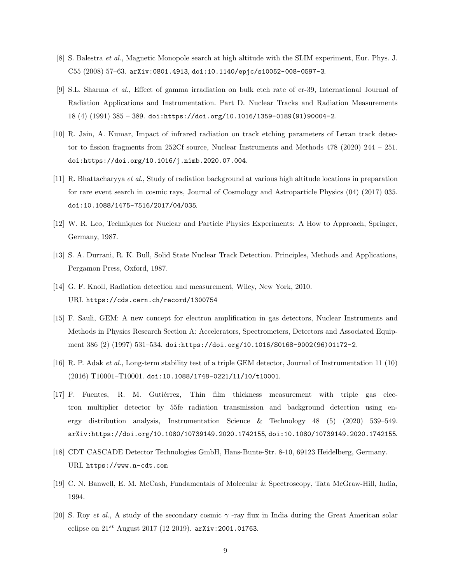- [8] S. Balestra et al., Magnetic Monopole search at high altitude with the SLIM experiment, Eur. Phys. J. C55 (2008) 57–63. arXiv:0801.4913, doi:10.1140/epjc/s10052-008-0597-3.
- [9] S.L. Sharma et al., Effect of gamma irradiation on bulk etch rate of cr-39, International Journal of Radiation Applications and Instrumentation. Part D. Nuclear Tracks and Radiation Measurements 18 (4) (1991) 385 – 389. doi:https://doi.org/10.1016/1359-0189(91)90004-2.
- [10] R. Jain, A. Kumar, Impact of infrared radiation on track etching parameters of Lexan track detector to fission fragments from 252Cf source, Nuclear Instruments and Methods 478 (2020) 244 – 251. doi:https://doi.org/10.1016/j.nimb.2020.07.004.
- [11] R. Bhattacharyya et al., Study of radiation background at various high altitude locations in preparation for rare event search in cosmic rays, Journal of Cosmology and Astroparticle Physics (04) (2017) 035. doi:10.1088/1475-7516/2017/04/035.
- [12] W. R. Leo, Techniques for Nuclear and Particle Physics Experiments: A How to Approach, Springer, Germany, 1987.
- [13] S. A. Durrani, R. K. Bull, Solid State Nuclear Track Detection. Principles, Methods and Applications, Pergamon Press, Oxford, 1987.
- [14] G. F. Knoll, Radiation detection and measurement, Wiley, New York, 2010. URL https://cds.cern.ch/record/1300754
- [15] F. Sauli, GEM: A new concept for electron amplification in gas detectors, Nuclear Instruments and Methods in Physics Research Section A: Accelerators, Spectrometers, Detectors and Associated Equipment 386 (2) (1997) 531–534. doi:https://doi.org/10.1016/S0168-9002(96)01172-2.
- [16] R. P. Adak et al., Long-term stability test of a triple GEM detector, Journal of Instrumentation 11 (10) (2016) T10001–T10001. doi:10.1088/1748-0221/11/10/t10001.
- [17] F. Fuentes, R. M. Gutiérrez, Thin film thickness measurement with triple gas electron multiplier detector by 55fe radiation transmission and background detection using energy distribution analysis, Instrumentation Science & Technology 48 (5) (2020) 539–549. arXiv:https://doi.org/10.1080/10739149.2020.1742155, doi:10.1080/10739149.2020.1742155.
- [18] CDT CASCADE Detector Technologies GmbH, Hans-Bunte-Str. 8-10, 69123 Heidelberg, Germany. URL https://www.n-cdt.com
- [19] C. N. Banwell, E. M. McCash, Fundamentals of Molecular & Spectroscopy, Tata McGraw-Hill, India, 1994.
- [20] S. Roy et al., A study of the secondary cosmic  $\gamma$ -ray flux in India during the Great American solar eclipse on  $21^{st}$  August 2017 (12 2019). arXiv: 2001.01763.